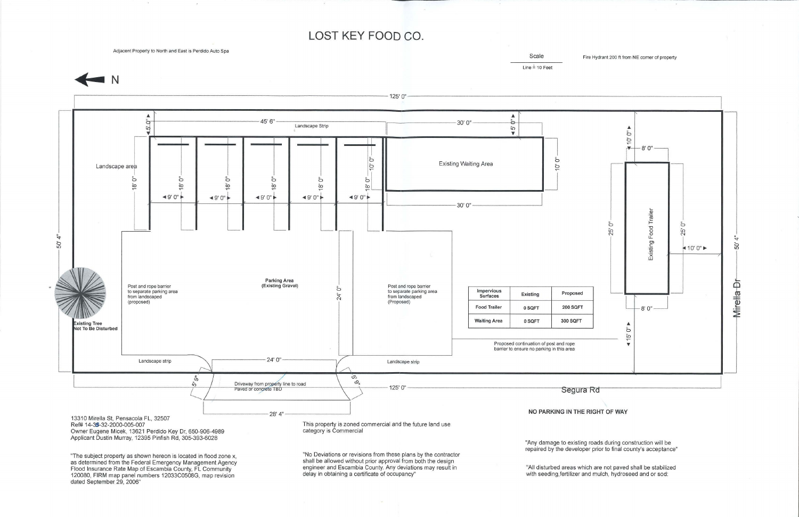**LOST KEY FOOD CO.** 

Adjacent Property to North and East is Perdido Auto Spa



Scale Fire Hydrant 200 ft from NE corner of property